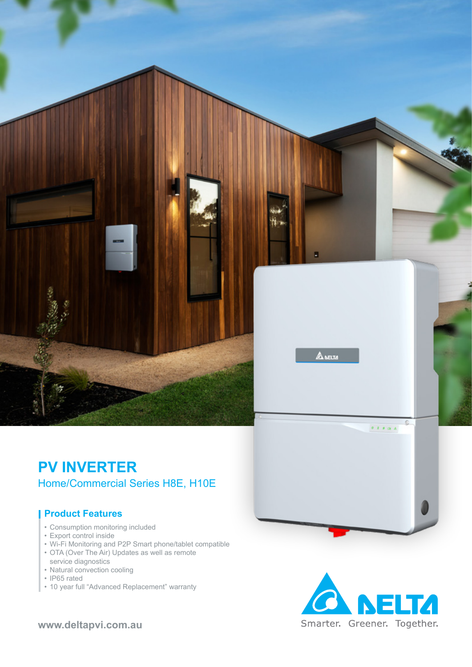

### **PV INVERTER** Home/Commercial Series H8E, H10E

### **Product Features**

- Consumption monitoring included
- Export control inside
- Wi-Fi Monitoring and P2P Smart phone/tablet compatible
- OTA (Over The Air) Updates as well as remote service diagnostics
- Natural convection cooling
- IP65 rated
- 10 year full "Advanced Replacement" warranty



**www.deltapvi.com.au**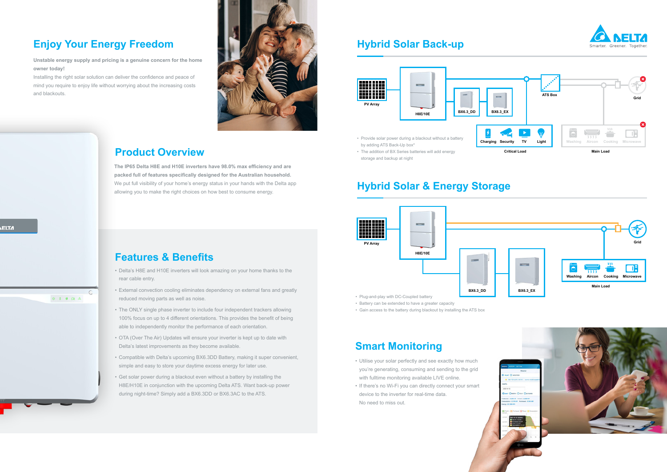## **Hybrid Solar & Energy Storage**

### **Product Overview**

# **Smart Monitoring**

# **Features & Benefits**

# **Enjoy Your Energy Freedom And Hybrid Solar Back-up**

**Unstable energy supply and pricing is a genuine concern for the home owner today!** 

Installing the right solar solution can deliver the confidence and peace of mind you require to enjoy life without worrying about the increasing costs and blackouts.



**The IP65 Delta H8E and H10E inverters have 98.0% max efficiency and are packed full of features specifically designed for the Australian household.**  We put full visibility of your home's energy status in your hands with the Delta app allowing you to make the right choices on how best to consume energy.

- Utilise your solar perfectly and see exactly how much you're generating, consuming and sending to the grid with fulltime monitoring available LIVE online.
- If there's no Wi-Fi you can directly connect your smart device to the inverter for real-time data. No need to miss out.
- Delta's H8E and H10E inverters will look amazing on your home thanks to the rear cable entry.
- External convection cooling eliminates dependency on external fans and greatly reduced moving parts as well as noise.
- The ONLY single phase inverter to include four independent trackers allowing 100% focus on up to 4 different orientations. This provides the benefit of being able to independently monitor the performance of each orientation.
- OTA (Over The Air) Updates will ensure your inverter is kept up to date with Delta's latest improvements as they become available.
- Compatible with Delta's upcoming BX6.3DD Battery, making it super convenient, simple and easy to store your daytime excess energy for later use.
- Get solar power during a blackout even without a battery by installing the H8E/H10E in conjunction with the upcoming Delta ATS. Want back-up power during night-time? Simply add a BX6.3DD or BX6.3AC to the ATS.

\* 8 9 19 4





- 
- Battery can be extended to have a greater capacity
- Gain access to the battery during blackout by installing the ATS box





- 
- storage and backup at night